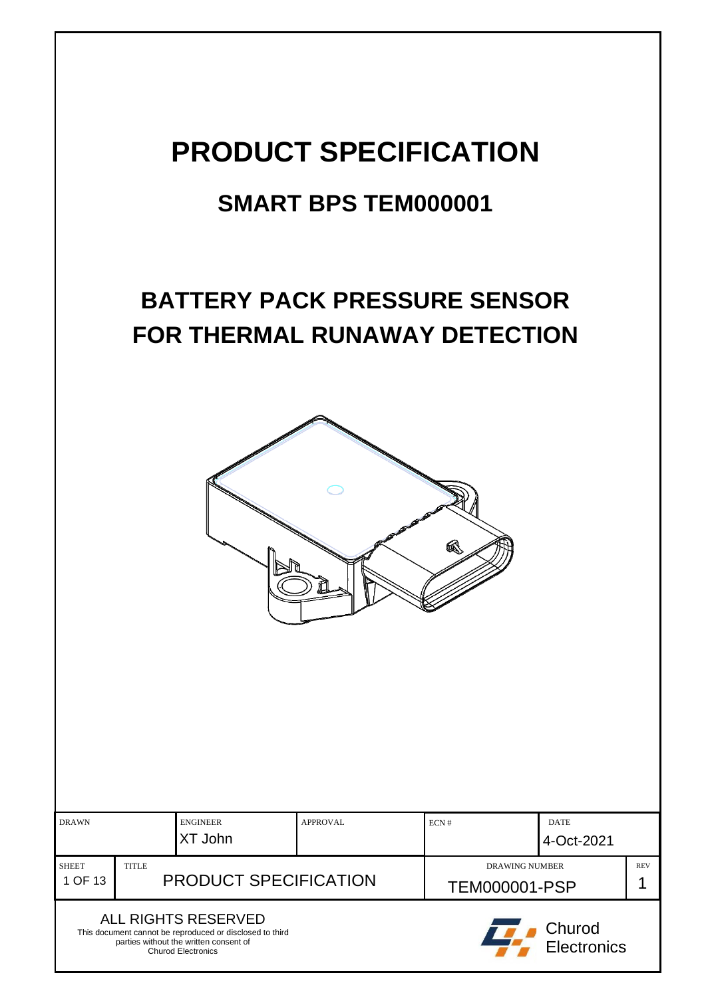# **PRODUCT SPECIFICATION**

# **SMART BPS TEM000001**

# **BATTERY PACK PRESSURE SENSOR FOR THERMAL RUNAWAY DETECTION**



| <b>DRAWN</b>            |                                              | <b>ENGINEER</b><br>XT John                                                                                                                             | APPROVAL                                      | ECN# | <b>DATE</b><br>4-Oct-2021    |  |
|-------------------------|----------------------------------------------|--------------------------------------------------------------------------------------------------------------------------------------------------------|-----------------------------------------------|------|------------------------------|--|
| <b>SHEET</b><br>1 OF 13 | <b>TITLE</b><br><b>PRODUCT SPECIFICATION</b> |                                                                                                                                                        | <b>DRAWING NUMBER</b><br><b>TEM000001-PSP</b> |      | <b>REV</b>                   |  |
|                         |                                              | ALL RIGHTS RESERVED<br>This document cannot be reproduced or disclosed to third<br>parties without the written consent of<br><b>Churod Electronics</b> |                                               |      | Churod<br><b>Electronics</b> |  |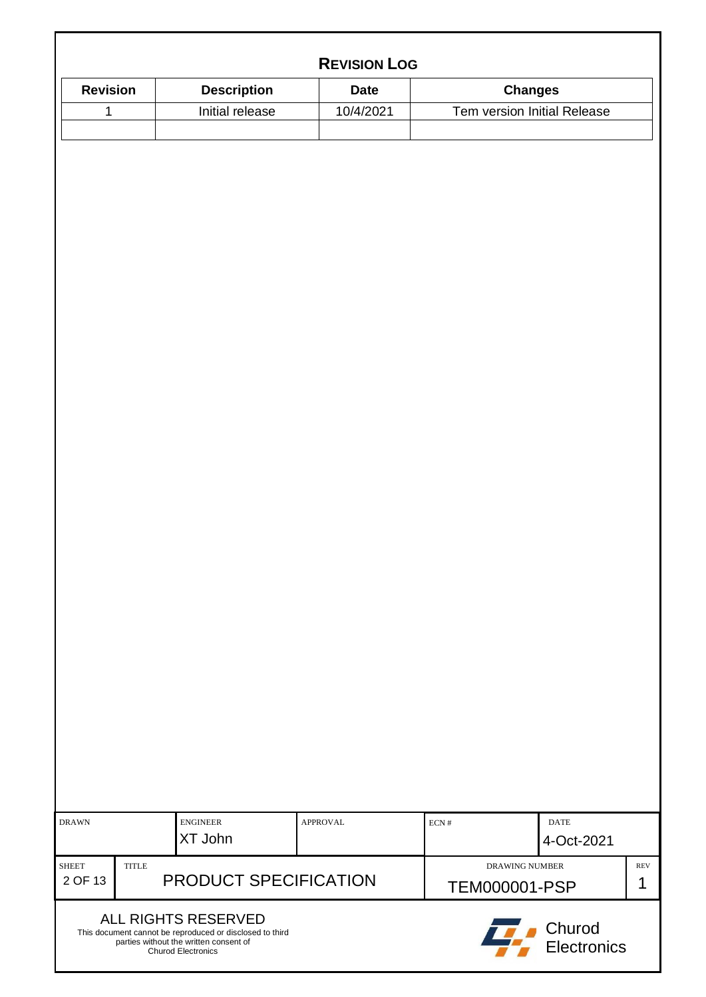|                                  |                                                                                 | <b>REVISION LOG</b> |                               |                             |                 |
|----------------------------------|---------------------------------------------------------------------------------|---------------------|-------------------------------|-----------------------------|-----------------|
| <b>Revision</b>                  | <b>Description</b>                                                              | <b>Date</b>         |                               | <b>Changes</b>              |                 |
| 1                                | Initial release                                                                 | 10/4/2021           |                               | Tem version Initial Release |                 |
|                                  |                                                                                 |                     |                               |                             |                 |
|                                  |                                                                                 |                     |                               |                             |                 |
|                                  |                                                                                 |                     |                               |                             |                 |
|                                  |                                                                                 |                     |                               |                             |                 |
|                                  |                                                                                 |                     |                               |                             |                 |
|                                  |                                                                                 |                     |                               |                             |                 |
|                                  |                                                                                 |                     |                               |                             |                 |
|                                  |                                                                                 |                     |                               |                             |                 |
|                                  |                                                                                 |                     |                               |                             |                 |
|                                  |                                                                                 |                     |                               |                             |                 |
|                                  |                                                                                 |                     |                               |                             |                 |
|                                  |                                                                                 |                     |                               |                             |                 |
|                                  |                                                                                 |                     |                               |                             |                 |
|                                  |                                                                                 |                     |                               |                             |                 |
|                                  |                                                                                 |                     |                               |                             |                 |
|                                  |                                                                                 |                     |                               |                             |                 |
|                                  |                                                                                 |                     |                               |                             |                 |
|                                  |                                                                                 |                     |                               |                             |                 |
|                                  |                                                                                 |                     |                               |                             |                 |
|                                  |                                                                                 |                     |                               |                             |                 |
|                                  |                                                                                 |                     |                               |                             |                 |
|                                  |                                                                                 |                     |                               |                             |                 |
|                                  |                                                                                 |                     |                               |                             |                 |
|                                  |                                                                                 |                     |                               |                             |                 |
|                                  |                                                                                 |                     |                               |                             |                 |
|                                  |                                                                                 |                     |                               |                             |                 |
|                                  |                                                                                 |                     |                               |                             |                 |
|                                  |                                                                                 |                     |                               |                             |                 |
|                                  |                                                                                 |                     |                               |                             |                 |
| <b>DRAWN</b>                     | <b>ENGINEER</b>                                                                 | <b>APPROVAL</b>     | $\mbox{ECN}\;\ensuremath{\#}$ | <b>DATE</b>                 |                 |
|                                  | XT John                                                                         |                     |                               | 4-Oct-2021                  |                 |
| TITLE<br><b>SHEET</b><br>2 OF 13 | PRODUCT SPECIFICATION                                                           |                     | <b>DRAWING NUMBER</b>         |                             | <b>REV</b><br>1 |
|                                  |                                                                                 |                     | <b>TEM000001-PSP</b>          |                             |                 |
|                                  | ALL RIGHTS RESERVED<br>This document cannot be reproduced or disclosed to third |                     |                               | Churod                      |                 |
|                                  | parties without the written consent of<br><b>Churod Electronics</b>             |                     |                               | Electronics                 |                 |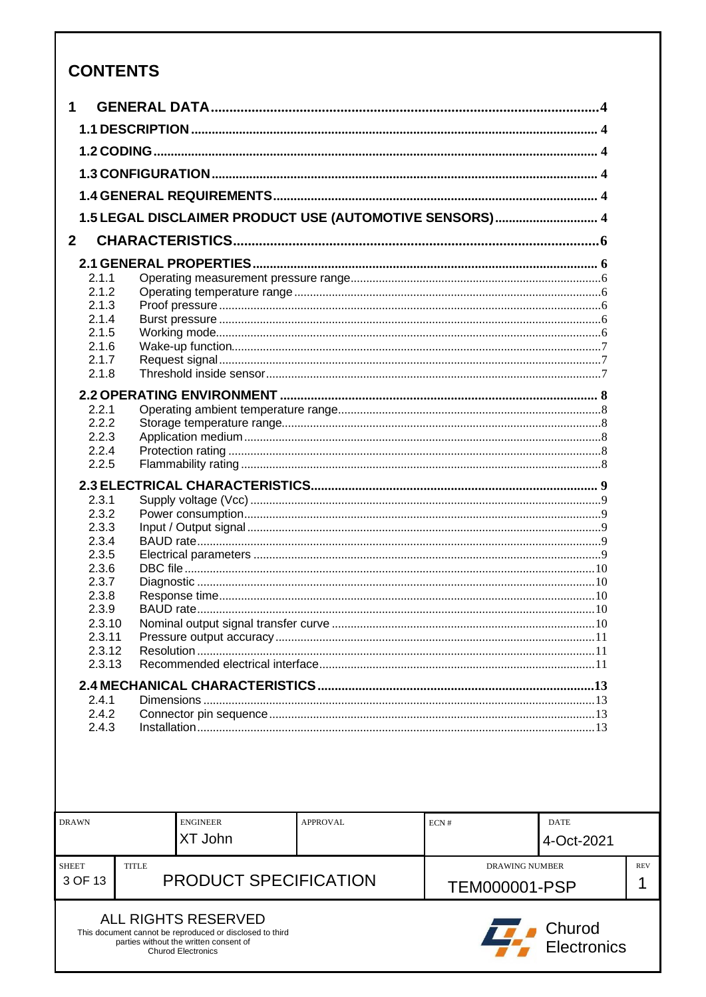# **CONTENTS**

This document cannot be reproduced or disclosed to third<br>parties without the written consent of<br>Churod Electronics

| 1               |              |                              |                                                         |                       |             |
|-----------------|--------------|------------------------------|---------------------------------------------------------|-----------------------|-------------|
|                 |              |                              |                                                         |                       |             |
|                 |              |                              |                                                         |                       |             |
|                 |              |                              |                                                         |                       |             |
|                 |              |                              |                                                         |                       |             |
|                 |              |                              | 1.5 LEGAL DISCLAIMER PRODUCT USE (AUTOMOTIVE SENSORS) 4 |                       |             |
| 2 <sup>1</sup>  |              |                              |                                                         |                       |             |
|                 |              |                              |                                                         |                       |             |
| 2.1.1           |              |                              |                                                         |                       |             |
| 2.1.2           |              |                              |                                                         |                       |             |
| 2.1.3           |              |                              |                                                         |                       |             |
| 2.1.4           |              |                              |                                                         |                       |             |
| 2.1.5<br>2.1.6  |              |                              |                                                         |                       |             |
| 2.1.7           |              |                              |                                                         |                       |             |
| 2.1.8           |              |                              |                                                         |                       |             |
|                 |              |                              |                                                         |                       |             |
| 2.2.1           |              |                              |                                                         |                       |             |
| 2.2.2           |              |                              |                                                         |                       |             |
| 2.2.3           |              |                              |                                                         |                       |             |
| 2.2.4           |              |                              |                                                         |                       |             |
| 2.2.5           |              |                              |                                                         |                       |             |
|                 |              |                              |                                                         |                       |             |
| 2.3.1           |              |                              |                                                         |                       |             |
| 2.3.2           |              |                              |                                                         |                       |             |
| 2.3.3           |              |                              |                                                         |                       |             |
| 2.3.4           |              |                              |                                                         |                       |             |
| 2.3.5           |              |                              |                                                         |                       |             |
| 2.3.6           |              |                              |                                                         |                       |             |
| 2.3.7           |              |                              |                                                         |                       |             |
| 2.3.8           |              |                              |                                                         |                       |             |
| 2.3.9<br>2.3.10 |              |                              |                                                         |                       | .10         |
| 2.3.11          |              |                              |                                                         |                       |             |
| 2.3.12          |              |                              |                                                         |                       |             |
| 2.3.13          |              |                              |                                                         |                       |             |
|                 |              |                              |                                                         |                       |             |
| 2.4.1           |              |                              |                                                         |                       |             |
| 2.4.2           |              |                              |                                                         |                       |             |
| 2.4.3           |              |                              |                                                         |                       |             |
|                 |              |                              |                                                         |                       |             |
|                 |              |                              |                                                         |                       |             |
|                 |              |                              |                                                         |                       |             |
|                 |              |                              |                                                         |                       |             |
|                 |              |                              |                                                         |                       |             |
| <b>DRAWN</b>    |              | <b>ENGINEER</b>              | <b>APPROVAL</b>                                         | ECN#                  | <b>DATE</b> |
|                 |              | XT John                      |                                                         |                       |             |
|                 |              |                              |                                                         |                       | 4-Oct-2021  |
| <b>SHEET</b>    | <b>TITLE</b> |                              |                                                         | <b>DRAWING NUMBER</b> |             |
| 3 OF 13         |              | <b>PRODUCT SPECIFICATION</b> |                                                         | TEM000001-PSP         |             |
|                 |              |                              |                                                         |                       |             |
|                 |              | ALL RIGHTS RESERVED          |                                                         |                       |             |



**REV**  $\overline{1}$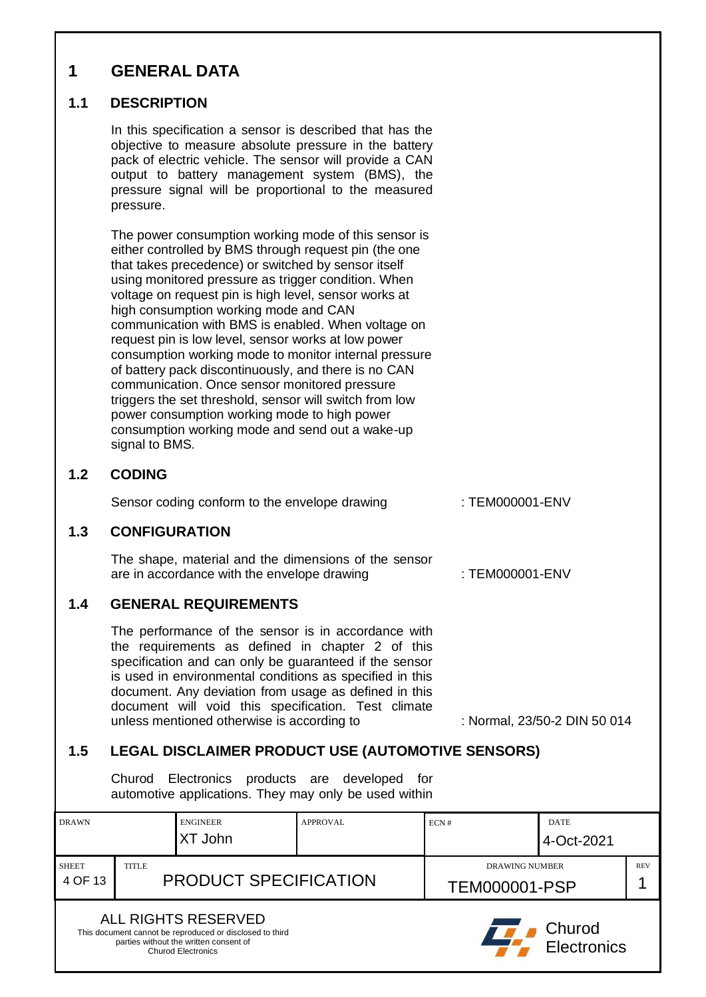# <span id="page-3-1"></span><span id="page-3-0"></span>**1 GENERAL DATA 1.1 DESCRIPTION** In this specification a sensor is described that has the objective to measure absolute pressure in the battery pack of electric vehicle. The sensor will provide a CAN output to battery management system (BMS), the pressure signal will be proportional to the measured pressure. The power consumption working mode of this sensor is either controlled by BMS through request pin (the one that takes precedence) or switched by sensor itself using monitored pressure as trigger condition. When voltage on request pin is high level, sensor works at high consumption working mode and CAN communication with BMS is enabled. When voltage on request pin is low level, sensor works at low power consumption working mode to monitor internal pressure of battery pack discontinuously, and there is no CAN communication. Once sensor monitored pressure triggers the set threshold, sensor will switch from low power consumption working mode to high power consumption working mode and send out a wake-up signal to BMS. **1.2 CODING** Sensor coding conform to the envelope drawing : TEM000001-ENV **1.3 CONFIGURATION** The shape, material and the dimensions of the sensor are in accordance with the envelope drawing  $\cdot$  TEM000001-ENV **1.4 GENERAL REQUIREMENTS** The performance of the sensor is in accordance with the requirements as defined in chapter 2 of this specification and can only be guaranteed if the sensor is used in environmental conditions as specified in this document. Any deviation from usage as defined in this document will void this specification. Test climate unless mentioned otherwise is according to : Normal, 23/50-2 DIN 50 014 **1.5 LEGAL DISCLAIMER PRODUCT USE (AUTOMOTIVE SENSORS)** Churod Electronics products are developed for automotive applications. They may only be used within

<span id="page-3-5"></span><span id="page-3-4"></span><span id="page-3-3"></span><span id="page-3-2"></span>

| <b>DRAWN</b>                 |  | <b>ENGINEER</b>                                                                                                                                        | APPROVAL              | ECN#                 | <b>DATE</b>           |  |
|------------------------------|--|--------------------------------------------------------------------------------------------------------------------------------------------------------|-----------------------|----------------------|-----------------------|--|
|                              |  | XT John                                                                                                                                                |                       |                      | 4-Oct-2021            |  |
| <b>TITLE</b><br><b>SHEET</b> |  |                                                                                                                                                        | <b>DRAWING NUMBER</b> |                      | <b>REV</b>            |  |
| 4 OF 13                      |  | <b>PRODUCT SPECIFICATION</b>                                                                                                                           |                       | <b>TEM000001-PSP</b> |                       |  |
|                              |  | ALL RIGHTS RESERVED<br>This document cannot be reproduced or disclosed to third<br>parties without the written consent of<br><b>Churod Electronics</b> |                       |                      | Churod<br>Electronics |  |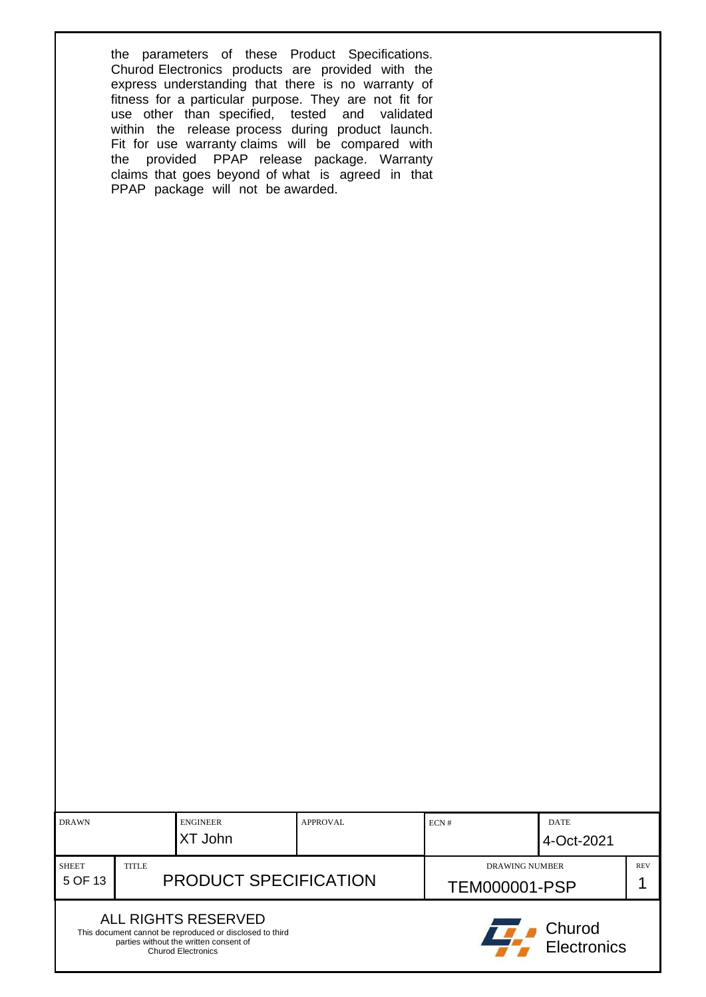the parameters of these Product Specifications. Churod Electronics products are provided with the express understanding that there is no warranty of fitness for a particular purpose. They are not fit for use other than specified, tested and validated within the release process during product launch. Fit for use warranty claims will be compared with the provided PPAP release package. Warranty claims that goes beyond of what is agreed in that PPAP package will not be awarded.

| <b>DRAWN</b>                 |  | <b>ENGINEER</b>                                                                                                                                        | <b>APPROVAL</b>       | ECN#                  | <b>DATE</b> |  |
|------------------------------|--|--------------------------------------------------------------------------------------------------------------------------------------------------------|-----------------------|-----------------------|-------------|--|
|                              |  | XT John                                                                                                                                                |                       |                       | 4-Oct-2021  |  |
| <b>SHEET</b><br><b>TITLE</b> |  |                                                                                                                                                        | <b>DRAWING NUMBER</b> |                       | <b>REV</b>  |  |
| 5 OF 13                      |  | <b>PRODUCT SPECIFICATION</b>                                                                                                                           |                       | <b>TEM000001-PSP</b>  |             |  |
|                              |  | ALL RIGHTS RESERVED<br>This document cannot be reproduced or disclosed to third<br>parties without the written consent of<br><b>Churod Electronics</b> |                       | Churod<br>Electronics |             |  |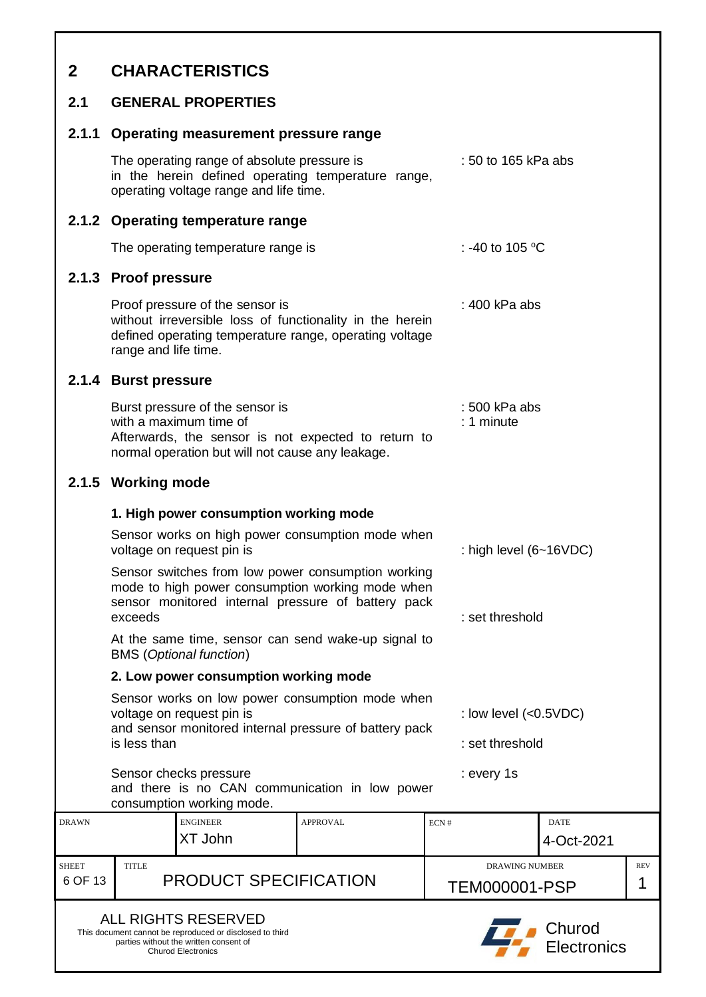<span id="page-5-6"></span><span id="page-5-5"></span><span id="page-5-4"></span><span id="page-5-3"></span><span id="page-5-2"></span><span id="page-5-1"></span><span id="page-5-0"></span>

| $\mathbf{2}$            | <b>CHARACTERISTICS</b>                                                                                                                                                                                                                        |                 |                                        |                           |                 |  |  |
|-------------------------|-----------------------------------------------------------------------------------------------------------------------------------------------------------------------------------------------------------------------------------------------|-----------------|----------------------------------------|---------------------------|-----------------|--|--|
| 2.1                     | <b>GENERAL PROPERTIES</b>                                                                                                                                                                                                                     |                 |                                        |                           |                 |  |  |
|                         | 2.1.1 Operating measurement pressure range                                                                                                                                                                                                    |                 |                                        |                           |                 |  |  |
|                         | The operating range of absolute pressure is<br>: 50 to 165 kPa abs<br>in the herein defined operating temperature range,<br>operating voltage range and life time.                                                                            |                 |                                        |                           |                 |  |  |
|                         | 2.1.2 Operating temperature range                                                                                                                                                                                                             |                 |                                        |                           |                 |  |  |
|                         | The operating temperature range is                                                                                                                                                                                                            |                 | : -40 to 105 °C                        |                           |                 |  |  |
|                         | 2.1.3 Proof pressure                                                                                                                                                                                                                          |                 |                                        |                           |                 |  |  |
|                         | Proof pressure of the sensor is<br>: $400$ kPa abs<br>without irreversible loss of functionality in the herein<br>defined operating temperature range, operating voltage<br>range and life time.                                              |                 |                                        |                           |                 |  |  |
|                         | 2.1.4 Burst pressure                                                                                                                                                                                                                          |                 |                                        |                           |                 |  |  |
|                         | Burst pressure of the sensor is<br>: 500 kPa abs<br>with a maximum time of<br>$: 1$ minute<br>Afterwards, the sensor is not expected to return to<br>normal operation but will not cause any leakage.                                         |                 |                                        |                           |                 |  |  |
|                         | 2.1.5 Working mode                                                                                                                                                                                                                            |                 |                                        |                           |                 |  |  |
|                         | 1. High power consumption working mode                                                                                                                                                                                                        |                 |                                        |                           |                 |  |  |
|                         | Sensor works on high power consumption mode when<br>voltage on request pin is                                                                                                                                                                 |                 | : high level $(6-16VDC)$               |                           |                 |  |  |
|                         | Sensor switches from low power consumption working<br>mode to high power consumption working mode when<br>sensor monitored internal pressure of battery pack<br>exceeds<br>At the same time, sensor can send wake-up signal to                |                 | : set threshold                        |                           |                 |  |  |
|                         | <b>BMS</b> (Optional function)                                                                                                                                                                                                                |                 |                                        |                           |                 |  |  |
|                         | 2. Low power consumption working mode<br>Sensor works on low power consumption mode when<br>: low level $(<0.5VDC)$<br>voltage on request pin is<br>and sensor monitored internal pressure of battery pack<br>is less than<br>: set threshold |                 |                                        |                           |                 |  |  |
|                         | Sensor checks pressure<br>and there is no CAN communication in low power<br>consumption working mode.                                                                                                                                         |                 | : every 1s                             |                           |                 |  |  |
| <b>DRAWN</b>            | <b>ENGINEER</b><br>XT John                                                                                                                                                                                                                    | <b>APPROVAL</b> | ECN#                                   | <b>DATE</b><br>4-Oct-2021 |                 |  |  |
| <b>SHEET</b><br>6 OF 13 | <b>TITLE</b><br><b>PRODUCT SPECIFICATION</b>                                                                                                                                                                                                  |                 | <b>DRAWING NUMBER</b><br>TEM000001-PSP |                           | <b>REV</b><br>1 |  |  |
|                         | <b>ALL RIGHTS RESERVED</b><br>Churod<br>This document cannot be reproduced or disclosed to third<br>parties without the written consent of<br><b>Electronics</b><br><b>Churod Electronics</b>                                                 |                 |                                        |                           |                 |  |  |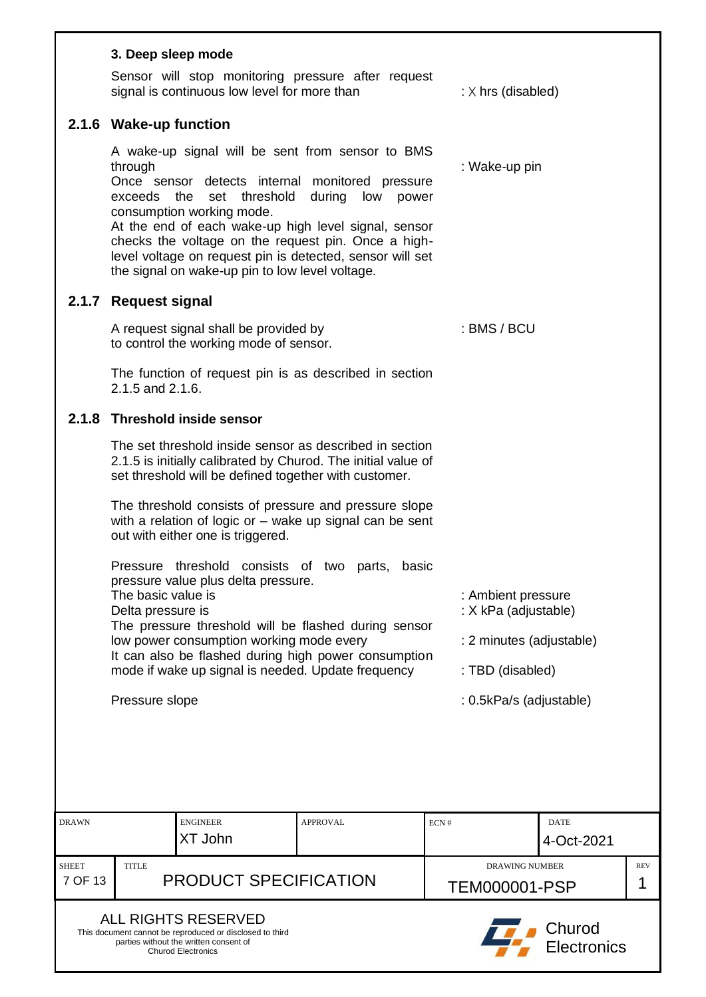<span id="page-6-2"></span><span id="page-6-1"></span><span id="page-6-0"></span>

|                         | 3. Deep sleep mode                                                                                                                                                                                                                                                                                                                                                                                                                                                |                        |                                               |                              |                 |  |  |
|-------------------------|-------------------------------------------------------------------------------------------------------------------------------------------------------------------------------------------------------------------------------------------------------------------------------------------------------------------------------------------------------------------------------------------------------------------------------------------------------------------|------------------------|-----------------------------------------------|------------------------------|-----------------|--|--|
|                         | Sensor will stop monitoring pressure after request<br>signal is continuous low level for more than                                                                                                                                                                                                                                                                                                                                                                |                        | : $\times$ hrs (disabled)                     |                              |                 |  |  |
|                         | 2.1.6 Wake-up function                                                                                                                                                                                                                                                                                                                                                                                                                                            |                        |                                               |                              |                 |  |  |
|                         | A wake-up signal will be sent from sensor to BMS<br>through<br>Once sensor detects internal monitored pressure<br>exceeds the<br>threshold<br>set<br>consumption working mode.<br>At the end of each wake-up high level signal, sensor<br>checks the voltage on the request pin. Once a high-<br>level voltage on request pin is detected, sensor will set<br>the signal on wake-up pin to low level voltage.                                                     | during<br>low<br>power | : Wake-up pin                                 |                              |                 |  |  |
| 2.1.7                   | <b>Request signal</b>                                                                                                                                                                                                                                                                                                                                                                                                                                             |                        |                                               |                              |                 |  |  |
|                         | A request signal shall be provided by<br>to control the working mode of sensor.                                                                                                                                                                                                                                                                                                                                                                                   |                        | : BMS / BCU                                   |                              |                 |  |  |
|                         | The function of request pin is as described in section<br>2.1.5 and 2.1.6.                                                                                                                                                                                                                                                                                                                                                                                        |                        |                                               |                              |                 |  |  |
| 2.1.8                   | <b>Threshold inside sensor</b>                                                                                                                                                                                                                                                                                                                                                                                                                                    |                        |                                               |                              |                 |  |  |
|                         | The set threshold inside sensor as described in section<br>2.1.5 is initially calibrated by Churod. The initial value of<br>set threshold will be defined together with customer.                                                                                                                                                                                                                                                                                 |                        |                                               |                              |                 |  |  |
|                         | The threshold consists of pressure and pressure slope<br>with a relation of logic or $-$ wake up signal can be sent<br>out with either one is triggered.                                                                                                                                                                                                                                                                                                          |                        |                                               |                              |                 |  |  |
|                         | threshold consists of two<br><b>Pressure</b><br>parts,<br>basic<br>pressure value plus delta pressure.<br>The basic value is<br>: Ambient pressure<br>: X kPa (adjustable)<br>Delta pressure is<br>The pressure threshold will be flashed during sensor<br>low power consumption working mode every<br>: 2 minutes (adjustable)<br>It can also be flashed during high power consumption<br>mode if wake up signal is needed. Update frequency<br>: TBD (disabled) |                        |                                               |                              |                 |  |  |
|                         | Pressure slope                                                                                                                                                                                                                                                                                                                                                                                                                                                    |                        | : 0.5kPa/s (adjustable)                       |                              |                 |  |  |
|                         |                                                                                                                                                                                                                                                                                                                                                                                                                                                                   |                        |                                               |                              |                 |  |  |
| <b>DRAWN</b>            | <b>ENGINEER</b><br>XT John                                                                                                                                                                                                                                                                                                                                                                                                                                        | <b>APPROVAL</b>        | ECN#                                          | <b>DATE</b><br>4-Oct-2021    |                 |  |  |
| <b>SHEET</b><br>7 OF 13 | <b>TITLE</b><br><b>PRODUCT SPECIFICATION</b>                                                                                                                                                                                                                                                                                                                                                                                                                      |                        | <b>DRAWING NUMBER</b><br><b>TEM000001-PSP</b> |                              | <b>REV</b><br>1 |  |  |
|                         | <b>ALL RIGHTS RESERVED</b><br>This document cannot be reproduced or disclosed to third<br>parties without the written consent of<br><b>Churod Electronics</b>                                                                                                                                                                                                                                                                                                     |                        |                                               | Churod<br><b>Electronics</b> |                 |  |  |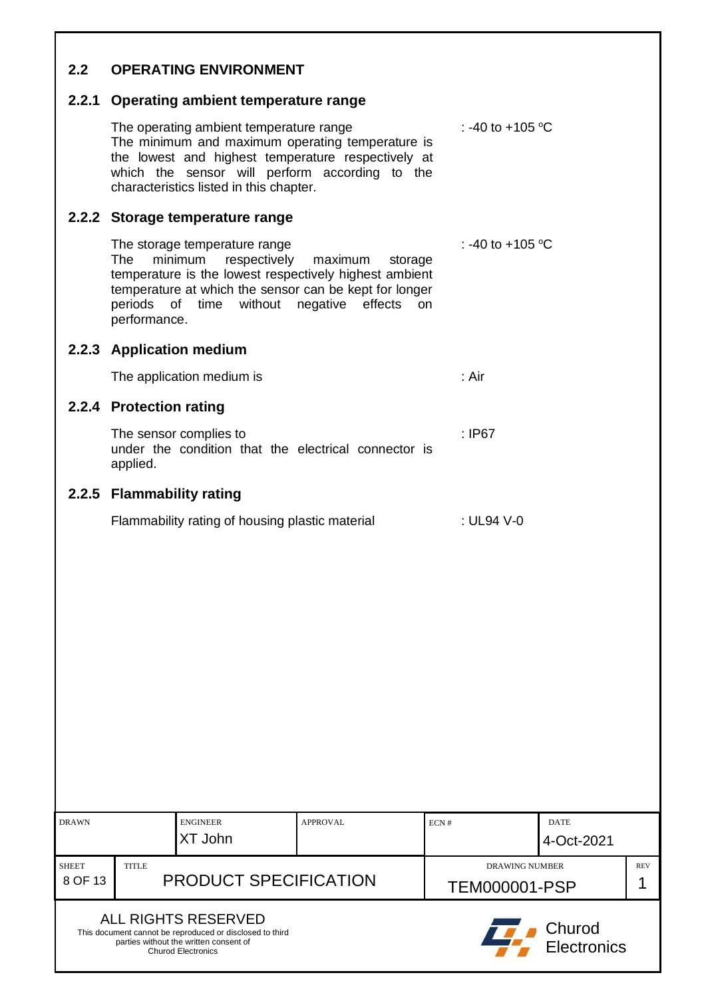## <span id="page-7-0"></span>**2.2 OPERATING ENVIRONMENT**

#### <span id="page-7-1"></span>**2.2.1 Operating ambient temperature range**

The operating ambient temperature range : -40 to +105  $\mathrm{^{\circ}C}$ The minimum and maximum operating temperature is the lowest and highest temperature respectively at which the sensor will perform according to the characteristics listed in this chapter.

#### <span id="page-7-2"></span>**2.2.2 Storage temperature range**

The storage temperature range : -40 to +105  $^{\circ}$ C The minimum respectively maximum storage temperature is the lowest respectively highest ambient temperature at which the sensor can be kept for longer periods of time without negative effects on performance.

#### <span id="page-7-3"></span>**2.2.3 Application medium**

The application medium is : Air

#### <span id="page-7-4"></span>**2.2.4 Protection rating**

The sensor complies to : IP67 under the condition that the electrical connector is applied.

#### <span id="page-7-5"></span>**2.2.5 Flammability rating**

| Flammability rating of housing plastic material | : UL94 V-0 |
|-------------------------------------------------|------------|
|-------------------------------------------------|------------|

| <b>DRAWN</b>            |                                       | <b>ENGINEER</b><br>XT John                                                                                                                             | APPROVAL                                      | ECN# | <b>DATE</b><br>4-Oct-2021 |  |
|-------------------------|---------------------------------------|--------------------------------------------------------------------------------------------------------------------------------------------------------|-----------------------------------------------|------|---------------------------|--|
| <b>SHEET</b><br>8 OF 13 | <b>TITLE</b><br>PRODUCT SPECIFICATION |                                                                                                                                                        | <b>DRAWING NUMBER</b><br><b>TEM000001-PSP</b> |      | <b>REV</b>                |  |
|                         |                                       | ALL RIGHTS RESERVED<br>This document cannot be reproduced or disclosed to third<br>parties without the written consent of<br><b>Churod Electronics</b> |                                               |      | Churod<br>Electronics     |  |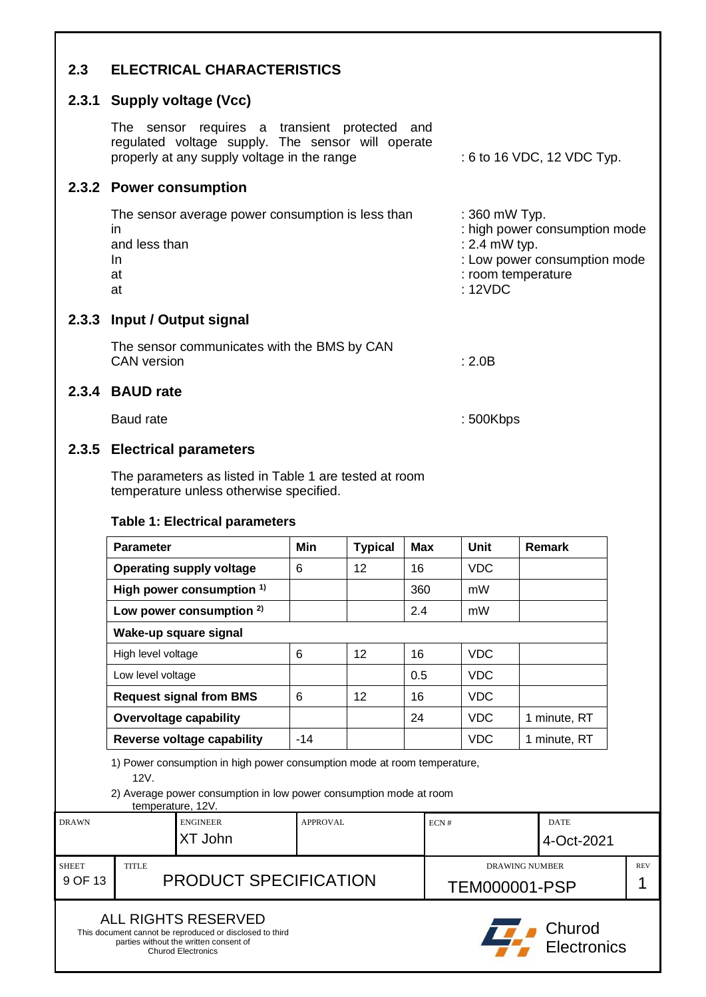<span id="page-8-2"></span><span id="page-8-1"></span><span id="page-8-0"></span>

| 2.3 | <b>ELECTRICAL CHARACTERISTICS</b>                                                                                                                 |                                                                                                                                 |
|-----|---------------------------------------------------------------------------------------------------------------------------------------------------|---------------------------------------------------------------------------------------------------------------------------------|
|     | 2.3.1 Supply voltage (Vcc)                                                                                                                        |                                                                                                                                 |
|     | The sensor requires a transient protected and<br>regulated voltage supply. The sensor will operate<br>properly at any supply voltage in the range | : 6 to 16 VDC, 12 VDC Typ.                                                                                                      |
|     | 2.3.2 Power consumption                                                                                                                           |                                                                                                                                 |
|     | The sensor average power consumption is less than<br>in<br>and less than<br>In.<br>at<br>at                                                       | : 360 mW Typ.<br>: high power consumption mode<br>: 2.4 mW typ.<br>: Low power consumption mode<br>: room temperature<br>:12VDC |
|     | 2.3.3 Input / Output signal                                                                                                                       |                                                                                                                                 |
|     | The sensor communicates with the BMS by CAN<br><b>CAN</b> version                                                                                 | : 2.0 $B$                                                                                                                       |
|     | 2.3.4 BAUD rate                                                                                                                                   |                                                                                                                                 |
|     | Baud rate                                                                                                                                         | : 500Kbps                                                                                                                       |

# <span id="page-8-5"></span><span id="page-8-4"></span><span id="page-8-3"></span>**2.3.5 Electrical parameters**

The parameters as listed in Table 1 are tested at room temperature unless otherwise specified.

#### **Table 1: Electrical parameters**

|                                                                                                                          | <b>Parameter</b>              |                                                                                                                                                               | Min   | <b>Typical</b> | <b>Max</b> | <b>Unit</b>               | <b>Remark</b>                |  |
|--------------------------------------------------------------------------------------------------------------------------|-------------------------------|---------------------------------------------------------------------------------------------------------------------------------------------------------------|-------|----------------|------------|---------------------------|------------------------------|--|
|                                                                                                                          |                               | <b>Operating supply voltage</b>                                                                                                                               | 6     | 12             | 16         | <b>VDC</b>                |                              |  |
|                                                                                                                          |                               | High power consumption <sup>1)</sup>                                                                                                                          |       |                | 360        | mW                        |                              |  |
|                                                                                                                          |                               | Low power consumption $2)$                                                                                                                                    |       |                | 2.4        | mW                        |                              |  |
|                                                                                                                          |                               | Wake-up square signal                                                                                                                                         |       |                |            |                           |                              |  |
|                                                                                                                          | High level voltage            |                                                                                                                                                               | 6     | 12             | 16         | <b>VDC</b>                |                              |  |
|                                                                                                                          | Low level voltage             |                                                                                                                                                               |       |                | 0.5        | <b>VDC</b>                |                              |  |
|                                                                                                                          |                               | <b>Request signal from BMS</b>                                                                                                                                | 6     | 12             | 16         | <b>VDC</b>                |                              |  |
|                                                                                                                          | <b>Overvoltage capability</b> |                                                                                                                                                               |       |                | 24         | <b>VDC</b>                | 1 minute, RT                 |  |
|                                                                                                                          |                               | Reverse voltage capability                                                                                                                                    | $-14$ |                |            | <b>VDC</b>                | 1 minute, RT                 |  |
|                                                                                                                          | 12V.                          | 1) Power consumption in high power consumption mode at room temperature,<br>2) Average power consumption in low power consumption mode at room                |       |                |            |                           |                              |  |
| temperature, 12V.<br><b>ENGINEER</b><br><b>DRAWN</b><br>XT John                                                          |                               | <b>APPROVAL</b>                                                                                                                                               |       | ECN#           |            | <b>DATE</b><br>4-Oct-2021 |                              |  |
| <b>SHEET</b><br><b>TITLE</b><br><b>DRAWING NUMBER</b><br><b>PRODUCT SPECIFICATION</b><br>9 OF 13<br><b>TEM000001-PSP</b> |                               |                                                                                                                                                               |       |                |            | <b>REV</b><br>1           |                              |  |
|                                                                                                                          |                               | <b>ALL RIGHTS RESERVED</b><br>This document cannot be reproduced or disclosed to third<br>parties without the written consent of<br><b>Churod Electronics</b> |       |                |            |                           | Churod<br><b>Electronics</b> |  |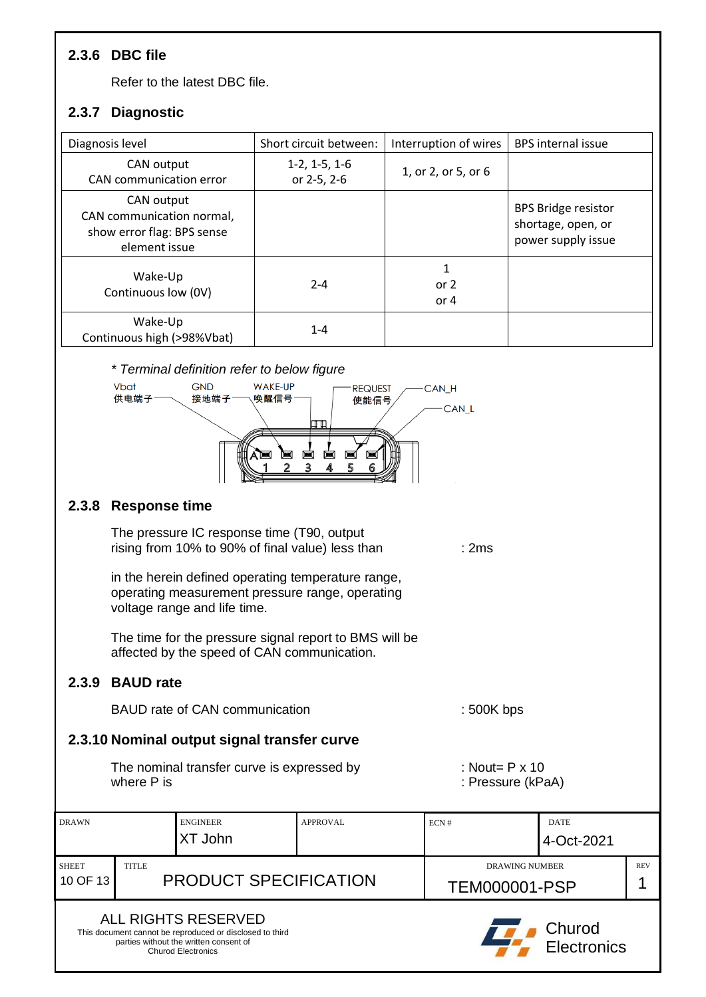# <span id="page-9-0"></span>**2.3.6 DBC file**

Refer to the latest DBC file.

# <span id="page-9-1"></span>**2.3.7 Diagnostic**

| Diagnosis level                                                                        | Short circuit between:         | Interruption of wires | <b>BPS</b> internal issue                                              |
|----------------------------------------------------------------------------------------|--------------------------------|-----------------------|------------------------------------------------------------------------|
| CAN output<br>CAN communication error                                                  | $1-2, 1-5, 1-6$<br>or 2-5, 2-6 | 1, or 2, or 5, or 6   |                                                                        |
| CAN output<br>CAN communication normal,<br>show error flag: BPS sense<br>element issue |                                |                       | <b>BPS Bridge resistor</b><br>shortage, open, or<br>power supply issue |
| Wake-Up<br>Continuous low (0V)                                                         | $2 - 4$                        | 1<br>or $2$<br>or 4   |                                                                        |
| Wake-Up<br>Continuous high (>98%Vbat)                                                  | $1 - 4$                        |                       |                                                                        |

#### *\* Terminal definition refer to below figure*



#### <span id="page-9-2"></span>**2.3.8 Response time**

The pressure IC response time (T90, output rising from 10% to 90% of final value) less than : 2ms

in the herein defined operating temperature range, operating measurement pressure range, operating voltage range and life time.

The time for the pressure signal report to BMS will be affected by the speed of CAN communication.

## <span id="page-9-3"></span>**2.3.9 BAUD rate**

BAUD rate of CAN communication : 500K bps

## <span id="page-9-4"></span>**2.3.10 Nominal output signal transfer curve**

The nominal transfer curve is expressed by : Nout= P x 10 where P is : Pressure (kPaA)

- 
- 

| <b>DRAWN</b>                                                                                                                                           |                                       | <b>ENGINEER</b><br>XT John | <b>APPROVAL</b>                               | ECN# | <b>DATE</b><br>4-Oct-2021 |  |
|--------------------------------------------------------------------------------------------------------------------------------------------------------|---------------------------------------|----------------------------|-----------------------------------------------|------|---------------------------|--|
| <b>SHEET</b><br>10 OF 13                                                                                                                               | <b>TITLE</b><br>PRODUCT SPECIFICATION |                            | <b>DRAWING NUMBER</b><br><b>TEM000001-PSP</b> |      | <b>REV</b>                |  |
| ALL RIGHTS RESERVED<br>This document cannot be reproduced or disclosed to third<br>parties without the written consent of<br><b>Churod Electronics</b> |                                       |                            |                                               |      | Churod<br>Electronics     |  |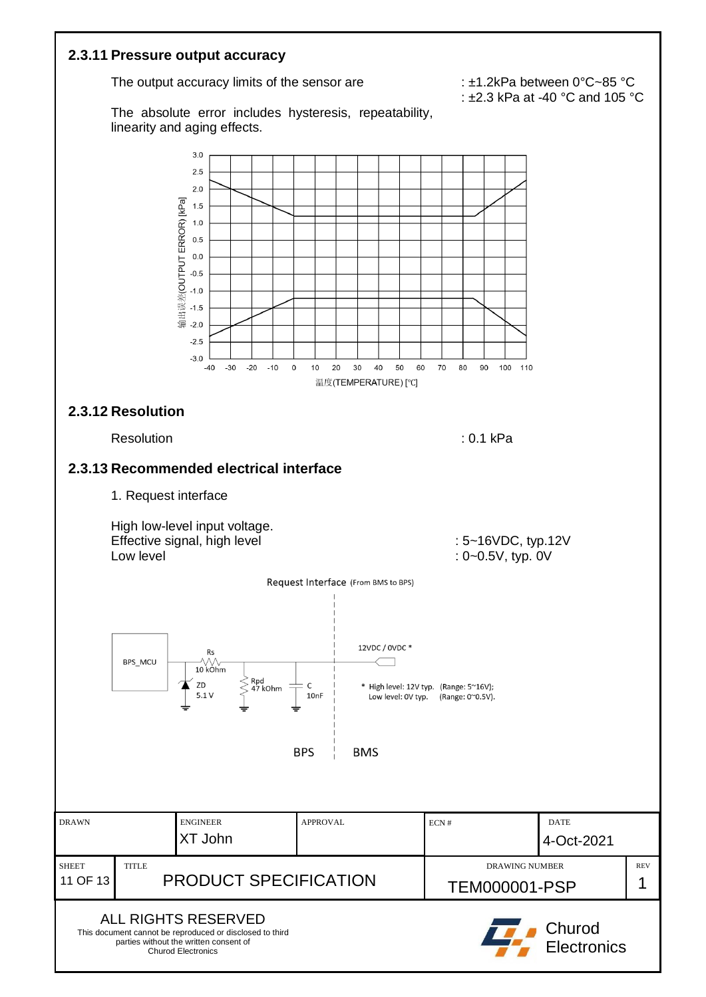<span id="page-10-2"></span><span id="page-10-1"></span><span id="page-10-0"></span>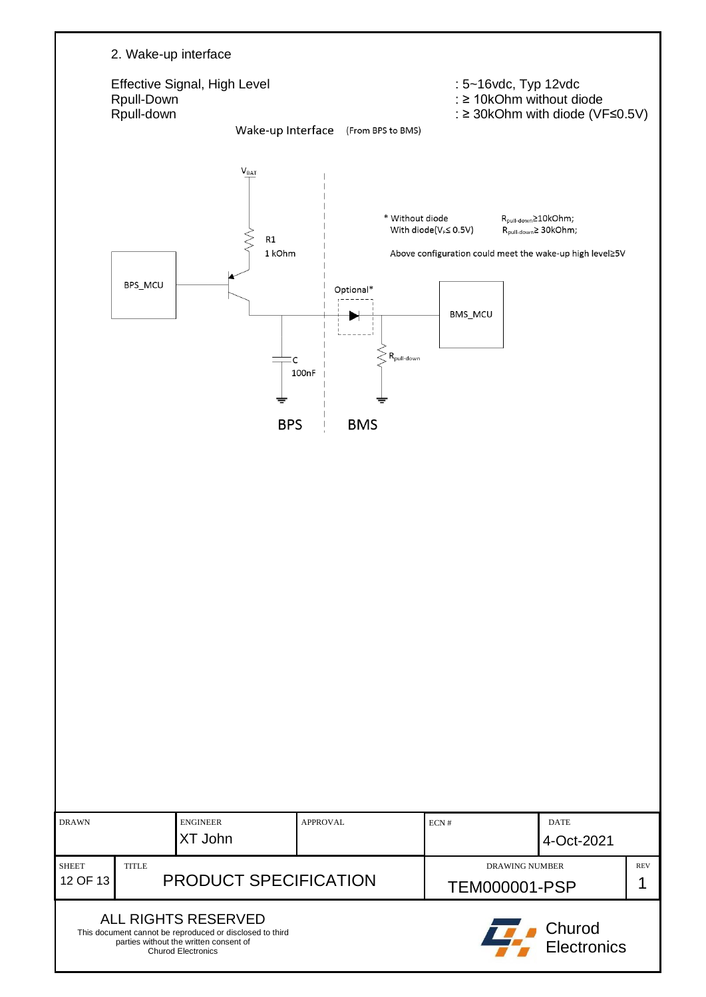| 2. Wake-up interface<br>Effective Signal, High Level<br>Rpull-Down<br>Rpull-down                                                                                   | Wake-up Interface                                  | (From BPS to BMS)                               |                                 | : 5~16vdc, Typ 12vdc<br>: ≥ 10kOhm without diode<br>: ≥ 30kOhm with diode (VF≤0.5V)                                             |            |
|--------------------------------------------------------------------------------------------------------------------------------------------------------------------|----------------------------------------------------|-------------------------------------------------|---------------------------------|---------------------------------------------------------------------------------------------------------------------------------|------------|
| BPS_MCU                                                                                                                                                            | $V_{BAT}$<br>$\mathsf{R}1$<br>1 kOhm<br>C<br>100nF | * Without diode<br>Optional*<br>$R_{pull-down}$ | With diode(VF≤ 0.5V)<br>BMS_MCU | R <sub>pull-down</sub> 210kOhm;<br>R <sub>pull-down</sub> ≥ 30kOhm;<br>Above configuration could meet the wake-up high level≥5V |            |
|                                                                                                                                                                    | <b>BPS</b>                                         | <b>BMS</b>                                      |                                 |                                                                                                                                 |            |
|                                                                                                                                                                    |                                                    |                                                 |                                 |                                                                                                                                 |            |
| <b>ENGINEER</b><br><b>DRAWN</b><br>XT John<br><b>SHEET</b><br><b>TITLE</b>                                                                                         | <b>APPROVAL</b>                                    |                                                 | ECN#                            | <b>DATE</b><br>4-Oct-2021<br><b>DRAWING NUMBER</b>                                                                              | <b>REV</b> |
| 12 OF 13<br>ALL RIGHTS RESERVED<br>This document cannot be reproduced or disclosed to third<br>parties without the written consent of<br><b>Churod Electronics</b> | PRODUCT SPECIFICATION                              |                                                 |                                 | <b>TEM000001-PSP</b><br>Churod<br>Electronics                                                                                   | 1          |